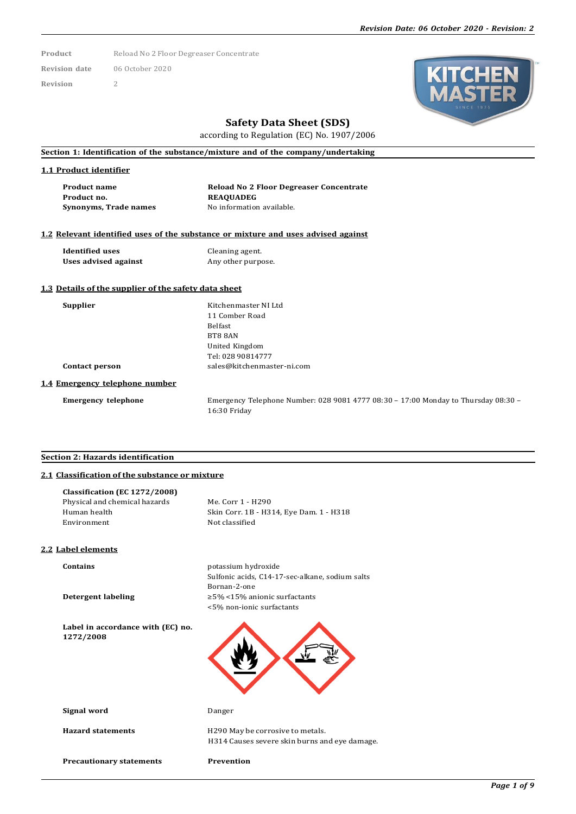Product Reload No 2 Floor Degreaser Concentrate **Revision date** 06 October 2020

**Revision** 2



# **Safety Data Sheet (SDS)**

according to Regulation (EC) No. 1907/2006

## **Section 1: Identification of the substance/mixture and of the company/undertaking**

#### **1.1 Product identifier**

| <b>Product name</b>   | <b>Reload No 2 Floor Degreaser Concentrate</b> |
|-----------------------|------------------------------------------------|
| Product no.           | <b>REAOUADEG</b>                               |
| Synonyms, Trade names | No information available.                      |

#### **1.2 Relevant identified uses of the substance or mixture and uses advised against**

**Identified uses** Cleaning agent.<br> **Uses advised against** Any other purpose. **Uses** advised against

## **1.3 Details of the supplier of the safety data sheet**

**Supplier** Kitchenmaster NI Ltd 11 Comber Road Belfast BT8 8AN United Kingdom Tel: 028 90814777 **Contact person** [sales@kitchenmaster-ni.com](mailto:sales@kitchenmaster-ni.com)

#### **1.4 Emergency telephone number**

**Emergency telephone** Emergency Telephone Number: 028 9081 4777 08:30 – 17:00 Monday to Thursday 08:30 – 16:30 Friday

# **Section 2: Hazards identification**

## **2.1 Classification of the substance or mixture**

| <b>Precautionary statements</b>                | Prevention                                                                        |
|------------------------------------------------|-----------------------------------------------------------------------------------|
| <b>Hazard statements</b>                       | H290 May be corrosive to metals.<br>H314 Causes severe skin burns and eye damage. |
| Signal word                                    | Danger                                                                            |
| Label in accordance with (EC) no.<br>1272/2008 |                                                                                   |
| Detergent labeling                             | Bornan-2-one<br>$\geq$ 5% <15% anionic surfactants<br><5% non-ionic surfactants   |
| <b>Contains</b>                                | potassium hydroxide<br>Sulfonic acids, C14-17-sec-alkane, sodium salts            |
| 2.2 Label elements                             |                                                                                   |
| Environment                                    | Not classified                                                                    |
| Human health                                   | Skin Corr. 1B - H314, Eye Dam. 1 - H318                                           |
| Physical and chemical hazards                  | Me. Corr 1 - H290                                                                 |
| Classification (EC 1272/2008)                  |                                                                                   |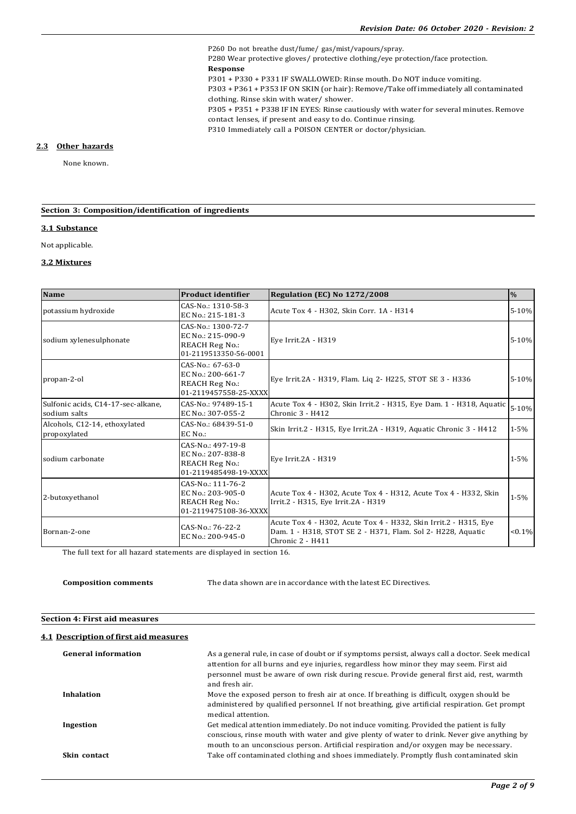P260 Do not breathe dust/fume/ gas/mist/vapours/spray. P280 Wear protective gloves/ protective clothing/eye protection/face protection. **Response** P301 + P330 + P331 IF SWALLOWED: Rinse mouth. Do NOT induce vomiting. P303 + P361 + P353 IF ON SKIN (or hair): Remove/Take off immediately all contaminated clothing. Rinse skin with water/ shower. P305 + P351 + P338 IF IN EYES: Rinse cautiously with water for several minutes. Remove contact lenses, if present and easy to do. Continue rinsing. P310 Immediately call a POISON CENTER or doctor/physician.

#### **2.3 Other hazards**

None known.

## **Section 3: Composition/identification of ingredients**

#### **3.1 Substance**

Not applicable.

#### **3.2 Mixtures**

| Name                                               | <b>Product identifier</b>                                                                 | <b>Regulation (EC) No 1272/2008</b>                                                                                                                 | $\frac{0}{0}$ |
|----------------------------------------------------|-------------------------------------------------------------------------------------------|-----------------------------------------------------------------------------------------------------------------------------------------------------|---------------|
| potassium hydroxide                                | CAS-No.: 1310-58-3<br>EC No.: 215-181-3                                                   | Acute Tox 4 - H302, Skin Corr. 1A - H314                                                                                                            | 5-10%         |
| sodium xylenesulphonate                            | CAS-No.: 1300-72-7<br>EC No.: 215-090-9<br><b>REACH Reg No.:</b><br>01-2119513350-56-0001 | Eye Irrit.2A - H319                                                                                                                                 | 5-10%         |
| propan-2-ol                                        | CAS-No.: 67-63-0<br>EC No.: 200-661-7<br><b>REACH Reg No.:</b><br>01-2119457558-25-XXXX   | Eye Irrit.2A - H319, Flam. Liq 2- H225, STOT SE 3 - H336                                                                                            | 5-10%         |
| Sulfonic acids, C14-17-sec-alkane,<br>sodium salts | CAS-No.: 97489-15-1<br>EC No.: 307-055-2                                                  | Acute Tox 4 - H302, Skin Irrit.2 - H315, Eye Dam. 1 - H318, Aquatic<br>$Chronic3 - H412$                                                            | 5-10%         |
| Alcohols, C12-14, ethoxylated<br>propoxylated      | $CAS-No.: 68439-51-0$<br>EC No.:                                                          | Skin Irrit.2 - H315, Eye Irrit.2A - H319, Aquatic Chronic 3 - H412                                                                                  | $1 - 5%$      |
| sodium carbonate                                   | CAS-No.: 497-19-8<br>EC No.: 207-838-8<br><b>REACH Reg No.:</b><br>01-2119485498-19-XXXX  | Eye Irrit.2A - H319                                                                                                                                 | $1 - 5%$      |
| 2-butoxyethanol                                    | CAS-No.: 111-76-2<br>EC No.: 203-905-0<br><b>REACH Reg No.:</b><br>01-2119475108-36-XXXX  | Acute Tox 4 - H302, Acute Tox 4 - H312, Acute Tox 4 - H332, Skin<br>Irrit.2 - H315, Eye Irrit.2A - H319                                             | $1 - 5%$      |
| Bornan-2-one                                       | CAS-No.: 76-22-2<br>EC No.: 200-945-0                                                     | Acute Tox 4 - H302, Acute Tox 4 - H332, Skin Irrit.2 - H315, Eye<br>Dam. 1 - H318, STOT SE 2 - H371, Flam. Sol 2- H228, Aquatic<br>Chronic 2 - H411 | $< 0.1\%$     |

The full text for all hazard statements are displayed in section 16.

**Composition comments** The data shown are in accordance with the latest EC Directives.

#### **Section 4: First aid measures**

#### **4.1 Description of first aid measures**

| <b>General information</b> | As a general rule, in case of doubt or if symptoms persist, always call a doctor. Seek medical<br>attention for all burns and eye injuries, regardless how minor they may seem. First aid<br>personnel must be aware of own risk during rescue. Provide general first aid, rest, warmth<br>and fresh air. |
|----------------------------|-----------------------------------------------------------------------------------------------------------------------------------------------------------------------------------------------------------------------------------------------------------------------------------------------------------|
| Inhalation                 | Move the exposed person to fresh air at once. If breathing is difficult, oxygen should be<br>administered by qualified personnel. If not breathing, give artificial respiration. Get prompt<br>medical attention.                                                                                         |
| Ingestion                  | Get medical attention immediately. Do not induce vomiting. Provided the patient is fully<br>conscious, rinse mouth with water and give plenty of water to drink. Never give anything by<br>mouth to an unconscious person. Artificial respiration and/or oxygen may be necessary.                         |
| Skin contact               | Take off contaminated clothing and shoes immediately. Promptly flush contaminated skin                                                                                                                                                                                                                    |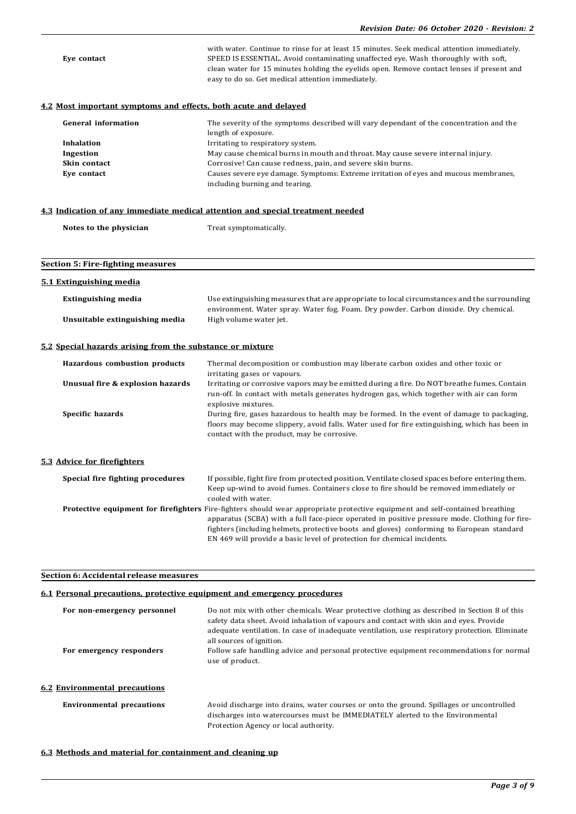| Eye contact                                                     | with water. Continue to rinse for at least 15 minutes. Seek medical attention immediately.<br>SPEED IS ESSENTIAL. Avoid contaminating unaffected eye. Wash thoroughly with soft,<br>clean water for 15 minutes holding the eyelids open. Remove contact lenses if present and<br>easy to do so. Get medical attention immediately. |
|-----------------------------------------------------------------|------------------------------------------------------------------------------------------------------------------------------------------------------------------------------------------------------------------------------------------------------------------------------------------------------------------------------------|
| 4.2 Most important symptoms and effects, both acute and delayed |                                                                                                                                                                                                                                                                                                                                    |
| <b>General information</b>                                      | The severity of the symptoms described will vary dependant of the concentration and the                                                                                                                                                                                                                                            |
|                                                                 | length of exposure.                                                                                                                                                                                                                                                                                                                |
| Inhalation                                                      | Irritating to respiratory system.                                                                                                                                                                                                                                                                                                  |
| Ingestion<br>Skin contact                                       | May cause chemical burns in mouth and throat. May cause severe internal injury.<br>Corrosive! Can cause redness, pain, and severe skin burns.                                                                                                                                                                                      |
| Eye contact                                                     | Causes severe eye damage. Symptoms: Extreme irritation of eyes and mucous membranes,                                                                                                                                                                                                                                               |
|                                                                 | including burning and tearing.                                                                                                                                                                                                                                                                                                     |
|                                                                 | 4.3 Indication of any immediate medical attention and special treatment needed                                                                                                                                                                                                                                                     |
|                                                                 |                                                                                                                                                                                                                                                                                                                                    |
| Notes to the physician                                          | Treat symptomatically.                                                                                                                                                                                                                                                                                                             |
|                                                                 |                                                                                                                                                                                                                                                                                                                                    |
|                                                                 |                                                                                                                                                                                                                                                                                                                                    |
| <b>Section 5: Fire-fighting measures</b>                        |                                                                                                                                                                                                                                                                                                                                    |
| 5.1 Extinguishing media                                         |                                                                                                                                                                                                                                                                                                                                    |
| <b>Extinguishing media</b>                                      | Use extinguishing measures that are appropriate to local circumstances and the surrounding                                                                                                                                                                                                                                         |
|                                                                 | environment. Water spray. Water fog. Foam. Dry powder. Carbon dioxide. Dry chemical.                                                                                                                                                                                                                                               |
| Unsuitable extinguishing media                                  | High volume water jet.                                                                                                                                                                                                                                                                                                             |
|                                                                 |                                                                                                                                                                                                                                                                                                                                    |
| 5.2 Special hazards arising from the substance or mixture       |                                                                                                                                                                                                                                                                                                                                    |
| Hazardous combustion products                                   | Thermal decomposition or combustion may liberate carbon oxides and other toxic or                                                                                                                                                                                                                                                  |
| Unusual fire & explosion hazards                                | irritating gases or vapours.<br>Irritating or corrosive vapors may be emitted during a fire. Do NOT breathe fumes. Contain                                                                                                                                                                                                         |
|                                                                 | run-off. In contact with metals generates hydrogen gas, which together with air can form                                                                                                                                                                                                                                           |
| Specific hazards                                                | explosive mixtures.<br>During fire, gases hazardous to health may be formed. In the event of damage to packaging,                                                                                                                                                                                                                  |
|                                                                 | floors may become slippery, avoid falls. Water used for fire extinguishing, which has been in                                                                                                                                                                                                                                      |
|                                                                 | contact with the product, may be corrosive.                                                                                                                                                                                                                                                                                        |
|                                                                 |                                                                                                                                                                                                                                                                                                                                    |
| 5.3 Advice for firefighters                                     |                                                                                                                                                                                                                                                                                                                                    |
|                                                                 |                                                                                                                                                                                                                                                                                                                                    |
| Special fire fighting procedures                                | If possible, fight fire from protected position. Ventilate closed spaces before entering them.<br>Keep up-wind to avoid fumes. Containers close to fire should be removed immediately or                                                                                                                                           |
|                                                                 | cooled with water.                                                                                                                                                                                                                                                                                                                 |
|                                                                 | Protective equipment for firefighters Fire-fighters should wear appropriate protective equipment and self-contained breathing                                                                                                                                                                                                      |
|                                                                 | apparatus (SCBA) with a full face-piece operated in positive pressure mode. Clothing for fire-                                                                                                                                                                                                                                     |
|                                                                 | fighters (including helmets, protective boots and gloves) conforming to European standard                                                                                                                                                                                                                                          |
|                                                                 | EN 469 will provide a basic level of protection for chemical incidents.                                                                                                                                                                                                                                                            |
|                                                                 |                                                                                                                                                                                                                                                                                                                                    |

# **Section 6: Accidental release measures**

# **6.1 Personal precautions, protective equipment and emergency procedures**

| For non-emergency personnel          | Do not mix with other chemicals. Wear protective clothing as described in Section 8 of this<br>safety data sheet. Avoid inhalation of vapours and contact with skin and eyes. Provide<br>adequate ventilation. In case of inadequate ventilation, use respiratory protection. Eliminate<br>all sources of ignition. |
|--------------------------------------|---------------------------------------------------------------------------------------------------------------------------------------------------------------------------------------------------------------------------------------------------------------------------------------------------------------------|
| For emergency responders             | Follow safe handling advice and personal protective equipment recommendations for normal<br>use of product.                                                                                                                                                                                                         |
| <b>6.2 Environmental precautions</b> |                                                                                                                                                                                                                                                                                                                     |
| <b>Environmental precautions</b>     | Avoid discharge into drains, water courses or onto the ground. Spillages or uncontrolled<br>discharges into watercourses must be IMMEDIATELY alerted to the Environmental<br>Protection Agency or local authority.                                                                                                  |

# **6.3 Methods and material for containment and cleaning up**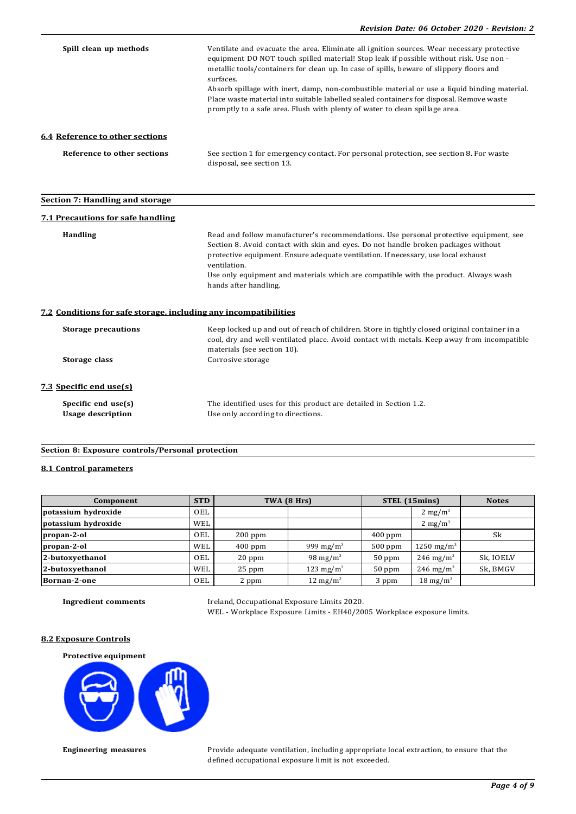| Spill clean up methods                                           | Ventilate and evacuate the area. Eliminate all ignition sources. Wear necessary protective<br>equipment DO NOT touch spilled material! Stop leak if possible without risk. Use non -<br>metallic tools/containers for clean up. In case of spills, beware of slippery floors and<br>surfaces.<br>Absorb spillage with inert, damp, non-combustible material or use a liquid binding material.<br>Place waste material into suitable labelled sealed containers for disposal. Remove waste<br>promptly to a safe area. Flush with plenty of water to clean spillage area. |
|------------------------------------------------------------------|--------------------------------------------------------------------------------------------------------------------------------------------------------------------------------------------------------------------------------------------------------------------------------------------------------------------------------------------------------------------------------------------------------------------------------------------------------------------------------------------------------------------------------------------------------------------------|
| 6.4 Reference to other sections                                  |                                                                                                                                                                                                                                                                                                                                                                                                                                                                                                                                                                          |
| <b>Reference to other sections</b>                               | See section 1 for emergency contact. For personal protection, see section 8. For waste<br>disposal, see section 13.                                                                                                                                                                                                                                                                                                                                                                                                                                                      |
| Section 7: Handling and storage                                  |                                                                                                                                                                                                                                                                                                                                                                                                                                                                                                                                                                          |
| <b>7.1 Precautions for safe handling</b>                         |                                                                                                                                                                                                                                                                                                                                                                                                                                                                                                                                                                          |
| <b>Handling</b>                                                  | Read and follow manufacturer's recommendations. Use personal protective equipment, see<br>Section 8. Avoid contact with skin and eyes. Do not handle broken packages without<br>protective equipment. Ensure adequate ventilation. If necessary, use local exhaust<br>ventilation.<br>Use only equipment and materials which are compatible with the product. Always wash<br>hands after handling.                                                                                                                                                                       |
| 7.2 Conditions for safe storage, including any incompatibilities |                                                                                                                                                                                                                                                                                                                                                                                                                                                                                                                                                                          |
| <b>Storage precautions</b>                                       | Keep locked up and out of reach of children. Store in tightly closed original container in a<br>cool, dry and well-ventilated place. Avoid contact with metals. Keep away from incompatible<br>materials (see section 10).                                                                                                                                                                                                                                                                                                                                               |
| Storage class                                                    | Corrosive storage                                                                                                                                                                                                                                                                                                                                                                                                                                                                                                                                                        |
| 7.3 Specific end use(s)                                          |                                                                                                                                                                                                                                                                                                                                                                                                                                                                                                                                                                          |
| Specific end use(s)<br><b>Usage description</b>                  | The identified uses for this product are detailed in Section 1.2.<br>Use only according to directions.                                                                                                                                                                                                                                                                                                                                                                                                                                                                   |

## **Section 8: Exposure controls/Personal protection**

## **8.1 Control parameters**

| Component           | <b>STD</b> |           | TWA (8 Hrs)           |           | STEL (15mins)          | <b>Notes</b> |
|---------------------|------------|-----------|-----------------------|-----------|------------------------|--------------|
| potassium hydroxide | OEL        |           |                       |           | $2 \text{ mg/m}^3$     |              |
| potassium hydroxide | WEL        |           |                       |           | $2 \text{ mg/m}^3$     |              |
| propan-2-ol         | OEL        | $200$ ppm |                       | $400$ ppm |                        | Sk           |
| propan-2-ol         | <b>WEL</b> | $400$ ppm | 999 mg/m <sup>3</sup> | $500$ ppm | 1250 mg/m <sup>3</sup> |              |
| 2-butoxyethanol     | OEL        | $20$ ppm  | 98 mg/m <sup>3</sup>  | $50$ ppm  | 246 mg/m <sup>3</sup>  | Sk, IOELV    |
| 2-butoxyethanol     | <b>WEL</b> | $25$ ppm  | 123 mg/m <sup>3</sup> | $50$ ppm  | $246 \text{ mg/m}^3$   | Sk, BMGV     |
| Bornan-2-one        | OEL        | 2 ppm     | $12 \text{ mg/m}^3$   | 3 ppm     | $18 \text{ mg/m}^3$    |              |

**Ingredient comments** Ireland, Occupational Exposure Limits 2020. WEL - Workplace Exposure Limits - EH40/2005 Workplace exposure limits.

## **8.2 Exposure Controls**

**Protective equipment**



**Engineering measures** Provide adequate ventilation, including appropriate local extraction, to ensure that the defined occupational exposure limit is not exceeded.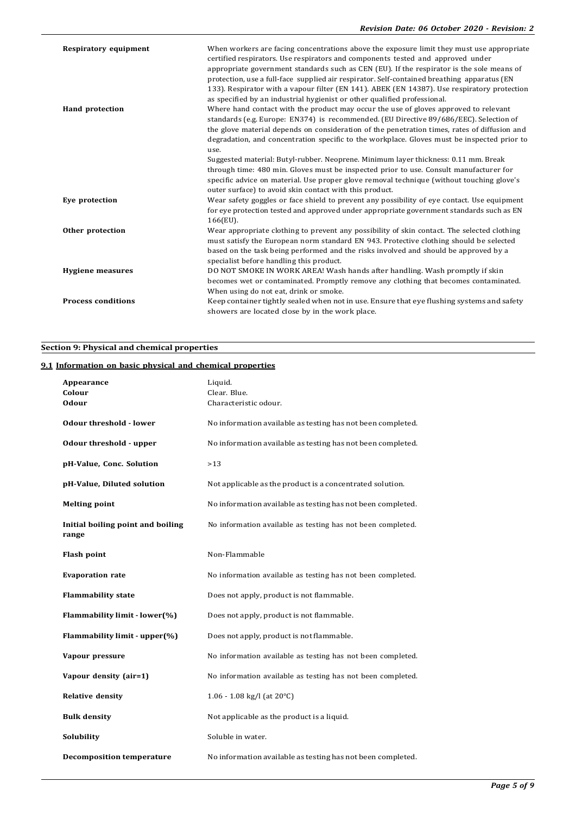| <b>Respiratory equipment</b> | When workers are facing concentrations above the exposure limit they must use appropriate<br>certified respirators. Use respirators and components tested and approved under<br>appropriate government standards such as CEN (EU). If the respirator is the sole means of<br>protection, use a full-face supplied air respirator. Self-contained breathing apparatus (EN<br>133). Respirator with a vapour filter (EN 141). ABEK (EN 14387). Use respiratory protection<br>as specified by an industrial hygienist or other qualified professional.                                                                                                                 |
|------------------------------|---------------------------------------------------------------------------------------------------------------------------------------------------------------------------------------------------------------------------------------------------------------------------------------------------------------------------------------------------------------------------------------------------------------------------------------------------------------------------------------------------------------------------------------------------------------------------------------------------------------------------------------------------------------------|
| <b>Hand protection</b>       | Where hand contact with the product may occur the use of gloves approved to relevant<br>standards (e.g. Europe: EN374) is recommended. (EU Directive 89/686/EEC). Selection of<br>the glove material depends on consideration of the penetration times, rates of diffusion and<br>degradation, and concentration specific to the workplace. Gloves must be inspected prior to<br>use.<br>Suggested material: Butyl-rubber. Neoprene. Minimum layer thickness: 0.11 mm. Break<br>through time: 480 min. Gloves must be inspected prior to use. Consult manufacturer for<br>specific advice on material. Use proper glove removal technique (without touching glove's |
| Eye protection               | outer surface) to avoid skin contact with this product.<br>Wear safety goggles or face shield to prevent any possibility of eye contact. Use equipment<br>for eve protection tested and approved under appropriate government standards such as EN<br>166(EU).                                                                                                                                                                                                                                                                                                                                                                                                      |
| Other protection             | Wear appropriate clothing to prevent any possibility of skin contact. The selected clothing<br>must satisfy the European norm standard EN 943. Protective clothing should be selected<br>based on the task being performed and the risks involved and should be approved by a<br>specialist before handling this product.                                                                                                                                                                                                                                                                                                                                           |
| <b>Hygiene measures</b>      | DO NOT SMOKE IN WORK AREA! Wash hands after handling. Wash promptly if skin<br>becomes wet or contaminated. Promptly remove any clothing that becomes contaminated.<br>When using do not eat, drink or smoke.                                                                                                                                                                                                                                                                                                                                                                                                                                                       |
| <b>Process conditions</b>    | Keep container tightly sealed when not in use. Ensure that eye flushing systems and safety<br>showers are located close by in the work place.                                                                                                                                                                                                                                                                                                                                                                                                                                                                                                                       |

# **Section 9: Physical and chemical properties**

# **9.1 Information on basic physical and chemical properties**

| Appearance<br>Colour<br><b>Odour</b>       | Liquid.<br>Clear. Blue.<br>Characteristic odour.            |
|--------------------------------------------|-------------------------------------------------------------|
| <b>Odour threshold - lower</b>             | No information available as testing has not been completed. |
| Odour threshold - upper                    | No information available as testing has not been completed. |
| pH-Value, Conc. Solution                   | $>13$                                                       |
| pH-Value, Diluted solution                 | Not applicable as the product is a concentrated solution.   |
| <b>Melting point</b>                       | No information available as testing has not been completed. |
| Initial boiling point and boiling<br>range | No information available as testing has not been completed. |
| <b>Flash point</b>                         | Non-Flammable                                               |
| <b>Evaporation rate</b>                    | No information available as testing has not been completed. |
| <b>Flammability state</b>                  | Does not apply, product is not flammable.                   |
| Flammability limit - lower(%)              | Does not apply, product is not flammable.                   |
| Flammability limit - upper(%)              | Does not apply, product is not flammable.                   |
| Vapour pressure                            | No information available as testing has not been completed. |
| Vapour density (air=1)                     | No information available as testing has not been completed. |
| <b>Relative density</b>                    | 1.06 - 1.08 kg/l (at $20^{\circ}$ C)                        |
| <b>Bulk density</b>                        | Not applicable as the product is a liquid.                  |
| Solubility                                 | Soluble in water.                                           |
| <b>Decomposition temperature</b>           | No information available as testing has not been completed. |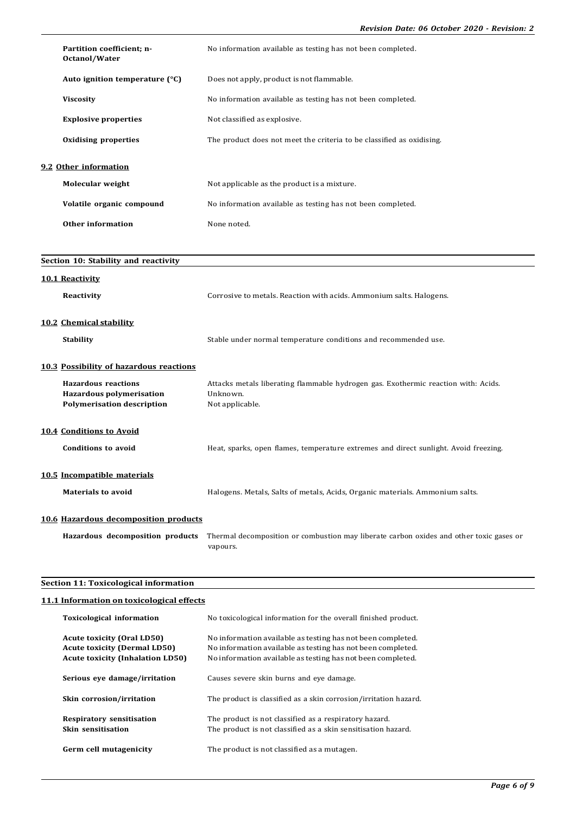|                       | Partition coefficient; n-<br>Octanol/Water                                                         | No information available as testing has not been completed.                                                       |
|-----------------------|----------------------------------------------------------------------------------------------------|-------------------------------------------------------------------------------------------------------------------|
|                       | Auto ignition temperature (°C)                                                                     | Does not apply, product is not flammable.                                                                         |
| <b>Viscosity</b>      |                                                                                                    | No information available as testing has not been completed.                                                       |
|                       | <b>Explosive properties</b>                                                                        | Not classified as explosive.                                                                                      |
|                       | <b>Oxidising properties</b>                                                                        | The product does not meet the criteria to be classified as oxidising.                                             |
| 9.2 Other information |                                                                                                    |                                                                                                                   |
|                       | <b>Molecular weight</b>                                                                            | Not applicable as the product is a mixture.                                                                       |
|                       | Volatile organic compound                                                                          | No information available as testing has not been completed.                                                       |
|                       | <b>Other information</b>                                                                           | None noted.                                                                                                       |
|                       |                                                                                                    |                                                                                                                   |
|                       | Section 10: Stability and reactivity                                                               |                                                                                                                   |
| 10.1 Reactivity       |                                                                                                    |                                                                                                                   |
| Reactivity            |                                                                                                    | Corrosive to metals. Reaction with acids. Ammonium salts. Halogens.                                               |
|                       | 10.2 Chemical stability                                                                            |                                                                                                                   |
| <b>Stability</b>      |                                                                                                    | Stable under normal temperature conditions and recommended use.                                                   |
|                       | 10.3 Possibility of hazardous reactions                                                            |                                                                                                                   |
|                       | <b>Hazardous reactions</b><br><b>Hazardous polymerisation</b><br><b>Polymerisation description</b> | Attacks metals liberating flammable hydrogen gas. Exothermic reaction with: Acids.<br>Unknown.<br>Not applicable. |

**10.4 Conditions to Avoid**

| Conditions to avoid         | Heat, sparks, open flames, temperature extremes and direct sunlight. Avoid freezing. |
|-----------------------------|--------------------------------------------------------------------------------------|
| 10.5 Incompatible materials |                                                                                      |
| <b>Materials to avoid</b>   | Halogens. Metals, Salts of metals, Acids, Organic materials. Ammonium salts.         |

# **10.6 Hazardous decomposition products**

**Hazardous decomposition products** Thermal decomposition or combustion may liberate carbon oxides and other toxic gases or vapours.

## **Section 11: Toxicological information**

## **11.1 Information on toxicological effects**

| <b>Toxicological information</b>                                                                                    | No toxicological information for the overall finished product.                                                                                                                            |
|---------------------------------------------------------------------------------------------------------------------|-------------------------------------------------------------------------------------------------------------------------------------------------------------------------------------------|
| <b>Acute toxicity (Oral LD50)</b><br><b>Acute toxicity (Dermal LD50)</b><br><b>Acute toxicity (Inhalation LD50)</b> | No information available as testing has not been completed.<br>No information available as testing has not been completed.<br>No information available as testing has not been completed. |
| Serious eve damage/irritation                                                                                       | Causes severe skin burns and eye damage.                                                                                                                                                  |
| Skin corrosion/irritation                                                                                           | The product is classified as a skin corrosion/irritation hazard.                                                                                                                          |
| <b>Respiratory sensitisation</b><br>Skin sensitisation                                                              | The product is not classified as a respiratory hazard.<br>The product is not classified as a skin sensitisation hazard.                                                                   |
| Germ cell mutagenicity                                                                                              | The product is not classified as a mutagen.                                                                                                                                               |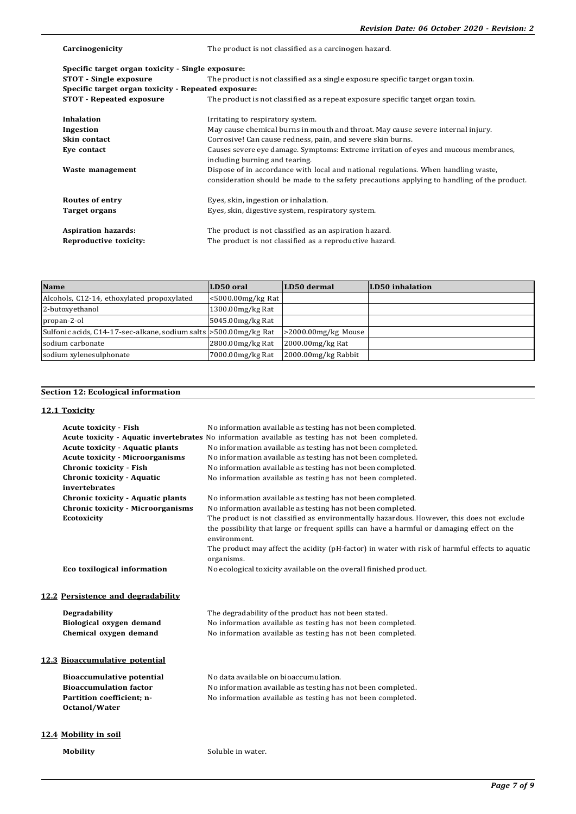| Carcinogenicity                                     | The product is not classified as a carcinogen hazard.                                                                                                                             |
|-----------------------------------------------------|-----------------------------------------------------------------------------------------------------------------------------------------------------------------------------------|
| Specific target organ toxicity - Single exposure:   |                                                                                                                                                                                   |
| <b>STOT</b> - Single exposure                       | The product is not classified as a single exposure specific target organ toxin.                                                                                                   |
| Specific target organ toxicity - Repeated exposure: |                                                                                                                                                                                   |
| <b>STOT</b> - Repeated exposure                     | The product is not classified as a repeat exposure specific target organ toxin.                                                                                                   |
| <b>Inhalation</b>                                   | Irritating to respiratory system.                                                                                                                                                 |
| Ingestion                                           | May cause chemical burns in mouth and throat. May cause severe internal injury.                                                                                                   |
| Skin contact                                        | Corrosive! Can cause redness, pain, and severe skin burns.                                                                                                                        |
| Eye contact                                         | Causes severe eye damage. Symptoms: Extreme irritation of eyes and mucous membranes,<br>including burning and tearing.                                                            |
| Waste management                                    | Dispose of in accordance with local and national regulations. When handling waste,<br>consideration should be made to the safety precautions applying to handling of the product. |
| <b>Routes of entry</b>                              | Eyes, skin, ingestion or inhalation.                                                                                                                                              |
| Target organs                                       | Eyes, skin, digestive system, respiratory system.                                                                                                                                 |
| <b>Aspiration hazards:</b>                          | The product is not classified as an aspiration hazard.                                                                                                                            |
| Reproductive toxicity:                              | The product is not classified as a reproductive hazard.                                                                                                                           |

| <b>Name</b>                                                        | LD50 oral               | LD50 dermal            | LD50 inhalation |
|--------------------------------------------------------------------|-------------------------|------------------------|-----------------|
| Alcohols, C12-14, ethoxylated propoxylated                         | $<$ 5000.00 $mg/kg$ Rat |                        |                 |
| 2-butoxyethanol                                                    | 1300.00 mg/kg Rat       |                        |                 |
| propan-2-ol                                                        | 5045.00mg/kg Rat        |                        |                 |
| Sulfonic acids, C14-17-sec-alkane, sodium salts > 500.00 mg/kg Rat |                         | $>2000.00$ mg/kg Mouse |                 |
| sodium carbonate                                                   | 2800.00mg/kg Rat        | $2000.00$ mg/kg Rat    |                 |
| sodium xylenesulphonate                                            | 7000.00mg/kg Rat        | 2000.00mg/kg Rabbit    |                 |

# **Section 12: Ecological information**

## **12.1 Toxicity**

| <b>Acute toxicity - Fish</b>             | No information available as testing has not been completed.                                                   |
|------------------------------------------|---------------------------------------------------------------------------------------------------------------|
|                                          | Acute toxicity - Aquatic invertebrates No information available as testing has not been completed.            |
| <b>Acute toxicity - Aquatic plants</b>   | No information available as testing has not been completed.                                                   |
| <b>Acute toxicity - Microorganisms</b>   | No information available as testing has not been completed.                                                   |
| Chronic toxicity - Fish                  | No information available as testing has not been completed.                                                   |
| <b>Chronic toxicity - Aquatic</b>        | No information available as testing has not been completed.                                                   |
| invertebrates                            |                                                                                                               |
| <b>Chronic toxicity - Aquatic plants</b> | No information available as testing has not been completed.                                                   |
| <b>Chronic toxicity - Microorganisms</b> | No information available as testing has not been completed.                                                   |
| <b>Ecotoxicity</b>                       | The product is not classified as environmentally hazardous. However, this does not exclude                    |
|                                          | the possibility that large or frequent spills can have a harmful or damaging effect on the<br>environment.    |
|                                          | The product may affect the acidity (pH-factor) in water with risk of harmful effects to aquatic<br>organisms. |
| Eco toxilogical information              | No ecological toxicity available on the overall finished product.                                             |
|                                          |                                                                                                               |
| 12.2 Persistence and degradability       |                                                                                                               |

| <b>Degradability</b>     | The degradability of the product has not been stated.       |
|--------------------------|-------------------------------------------------------------|
| Biological oxygen demand | No information available as testing has not been completed. |
| Chemical oxygen demand   | No information available as testing has not been completed. |

# **12.3 Bioaccumulative potential**

| Bioaccumulative potential     | No data available on bioaccumulation.                       |
|-------------------------------|-------------------------------------------------------------|
| <b>Bioaccumulation factor</b> | No information available as testing has not been completed. |
| Partition coefficient: n-     | No information available as testing has not been completed. |
| <b>Octanol/Water</b>          |                                                             |

## **12.4 Mobility in soil**

**Mobility** Soluble in water.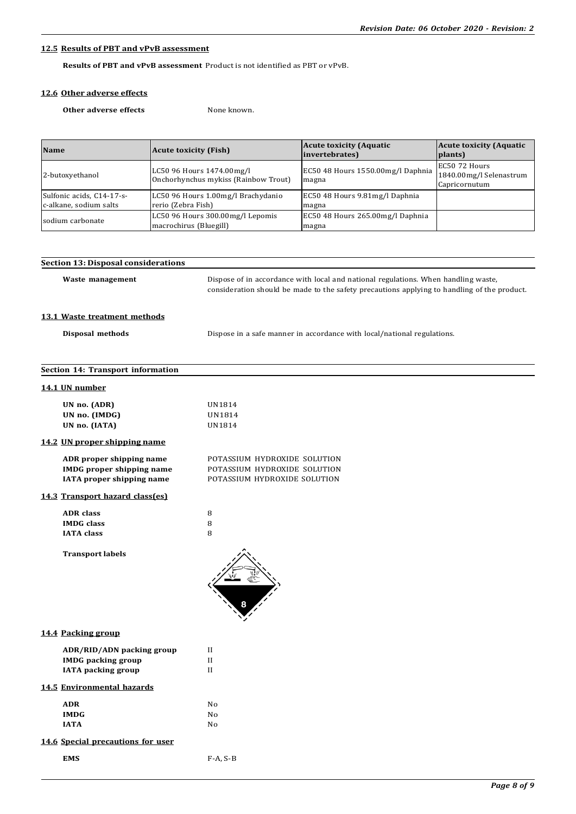## **12.5 Results of PBT and vPvB assessment**

**EMS** F-A, S-B

**Results of PBT and vPvB assessment** Product is not identified as PBT or vPvB.

# **12.6 Other adverse effects**

**Other adverse effects** None known.

| <b>Name</b>                                         | <b>Acute toxicity (Fish)</b>                                      | <b>Acute toxicity (Aquatic)</b><br>invertebrates) | <b>Acute toxicity (Aquatic</b><br>plants)                 |
|-----------------------------------------------------|-------------------------------------------------------------------|---------------------------------------------------|-----------------------------------------------------------|
| 2-butoxyethanol                                     | LC50 96 Hours 1474.00mg/l<br>Onchorhynchus mykiss (Rainbow Trout) | EC50 48 Hours 1550.00mg/l Daphnia<br>magna        | EC50 72 Hours<br>1840.00mg/l Selenastrum<br>Capricornutum |
| Sulfonic acids, C14-17-s-<br>c-alkane, sodium salts | LC50 96 Hours 1.00mg/l Brachydanio<br>rerio (Zebra Fish)          | EC50 48 Hours 9.81mg/l Daphnia<br>magna           |                                                           |
| sodium carbonate                                    | LC50 96 Hours 300.00mg/l Lepomis<br>macrochirus (Bluegill)        | EC50 48 Hours 265.00mg/l Daphnia<br>magna         |                                                           |

| <b>Section 13: Disposal considerations</b>                                                |                                                                                                                                                                                   |
|-------------------------------------------------------------------------------------------|-----------------------------------------------------------------------------------------------------------------------------------------------------------------------------------|
| Waste management                                                                          | Dispose of in accordance with local and national regulations. When handling waste,<br>consideration should be made to the safety precautions applying to handling of the product. |
| 13.1 Waste treatment methods                                                              |                                                                                                                                                                                   |
| Disposal methods                                                                          | Dispose in a safe manner in accordance with local/national regulations.                                                                                                           |
| Section 14: Transport information                                                         |                                                                                                                                                                                   |
| 14.1 UN number                                                                            |                                                                                                                                                                                   |
| UN no. (ADR)<br>UN no. (IMDG)<br>UN no. (IATA)                                            | UN1814<br>UN1814<br>UN1814                                                                                                                                                        |
| 14.2 UN proper shipping name                                                              |                                                                                                                                                                                   |
| ADR proper shipping name<br><b>IMDG</b> proper shipping name<br>IATA proper shipping name | POTASSIUM HYDROXIDE SOLUTION<br>POTASSIUM HYDROXIDE SOLUTION<br>POTASSIUM HYDROXIDE SOLUTION                                                                                      |
| 14.3 Transport hazard class(es)                                                           |                                                                                                                                                                                   |
| <b>ADR</b> class<br><b>IMDG</b> class<br><b>IATA</b> class                                | 8<br>8<br>8                                                                                                                                                                       |
| <b>Transport labels</b>                                                                   |                                                                                                                                                                                   |
| 14.4 Packing group                                                                        |                                                                                                                                                                                   |
| ADR/RID/ADN packing group<br><b>IMDG</b> packing group<br><b>IATA</b> packing group       | $_{\rm II}$<br>$\mathbf{I}$<br>$\mathbf{I}$                                                                                                                                       |
| 14.5 Environmental hazards                                                                |                                                                                                                                                                                   |
| <b>ADR</b><br><b>IMDG</b><br><b>IATA</b>                                                  | No<br>No<br>No                                                                                                                                                                    |
| 14.6 Special precautions for user                                                         |                                                                                                                                                                                   |